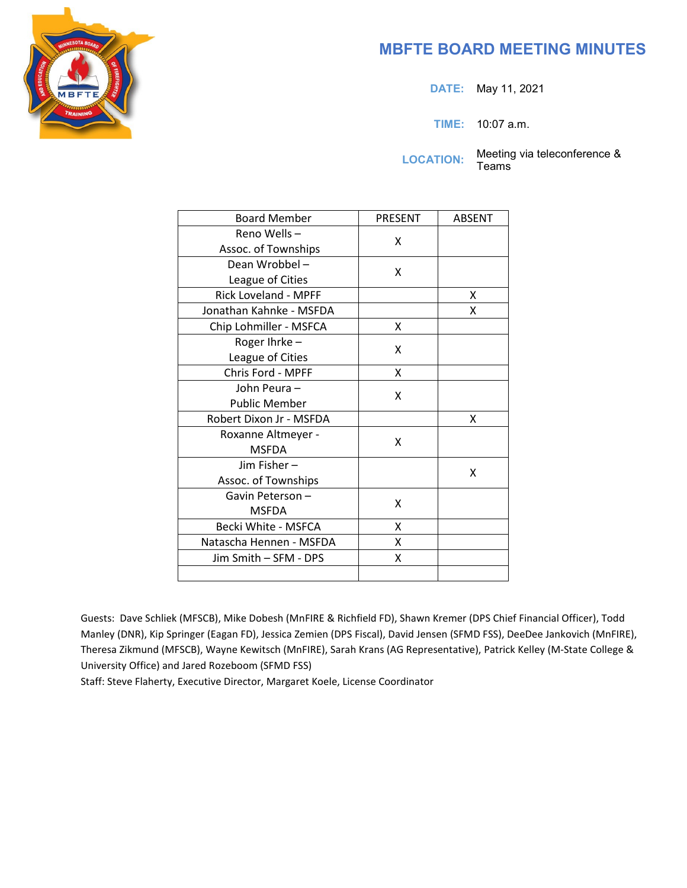# **MBFTE BOARD MEETING MINUTES**

**DATE:** May 11, 2021

**TIME:** 10:07 a.m.

LOCATION: Meeting via teleconference &

Teams

| <b>Board Member</b>         | PRESENT | <b>ABSENT</b> |
|-----------------------------|---------|---------------|
| Reno Wells-                 | x       |               |
| Assoc. of Townships         |         |               |
| Dean Wrobbel-               | x       |               |
| League of Cities            |         |               |
| <b>Rick Loveland - MPFF</b> |         | x             |
| Jonathan Kahnke - MSFDA     |         | x             |
| Chip Lohmiller - MSFCA      | Χ       |               |
| Roger Ihrke -               | x       |               |
| League of Cities            |         |               |
| Chris Ford - MPFF           | X       |               |
| John Peura -                | x       |               |
| <b>Public Member</b>        |         |               |
| Robert Dixon Jr - MSFDA     |         | x             |
| Roxanne Altmeyer -          | x       |               |
| <b>MSFDA</b>                |         |               |
| Jim Fisher-                 |         | x             |
| Assoc. of Townships         |         |               |
| Gavin Peterson-             | x       |               |
| <b>MSFDA</b>                |         |               |
| Becki White - MSFCA         | X       |               |
| Natascha Hennen - MSFDA     | X       |               |
| Jim Smith – SFM - DPS       | X       |               |
|                             |         |               |

Guests: Dave Schliek (MFSCB), Mike Dobesh (MnFIRE & Richfield FD), Shawn Kremer (DPS Chief Financial Officer), Todd Manley (DNR), Kip Springer (Eagan FD), Jessica Zemien (DPS Fiscal), David Jensen (SFMD FSS), DeeDee Jankovich (MnFIRE), Theresa Zikmund (MFSCB), Wayne Kewitsch (MnFIRE), Sarah Krans (AG Representative), Patrick Kelley (M-State College & University Office) and Jared Rozeboom (SFMD FSS)

Staff: Steve Flaherty, Executive Director, Margaret Koele, License Coordinator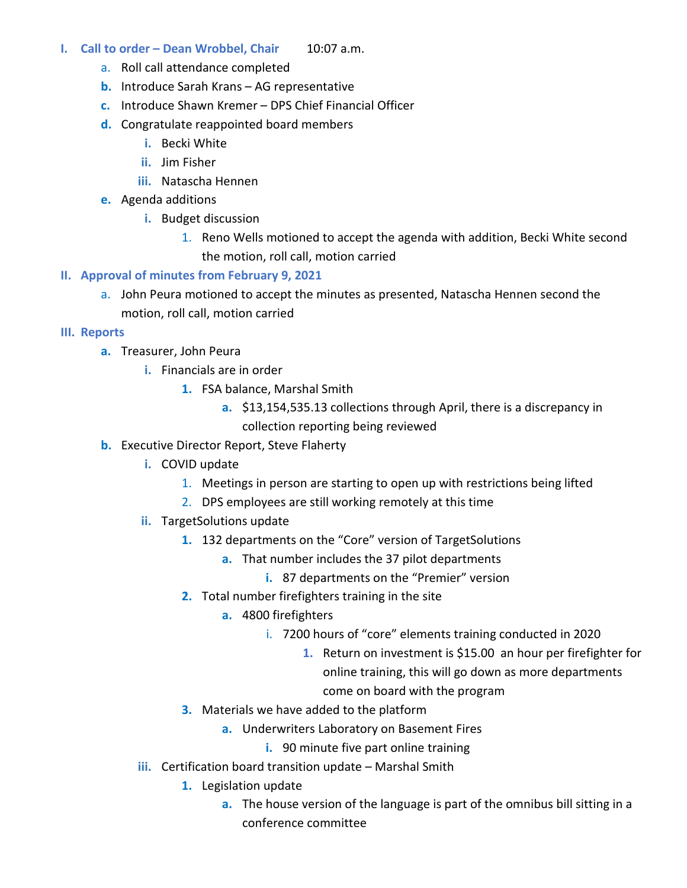- **I.** Call to order Dean Wrobbel, Chair 10:07 a.m.
	- a. Roll call attendance completed
	- **b.** Introduce Sarah Krans AG representative
	- **c.** Introduce Shawn Kremer DPS Chief Financial Officer
	- **d.** Congratulate reappointed board members
		- **i.** Becki White
		- **ii.** Jim Fisher
		- **iii.** Natascha Hennen
	- **e.** Agenda additions
		- **i.** Budget discussion
			- 1. Reno Wells motioned to accept the agenda with addition, Becki White second the motion, roll call, motion carried
- **II. Approval of minutes from February 9, 2021**
	- a. John Peura motioned to accept the minutes as presented, Natascha Hennen second the motion, roll call, motion carried
- **III. Reports**
	- **a.** Treasurer, John Peura
		- **i.** Financials are in order
			- **1.** FSA balance, Marshal Smith
				- **a.** \$13,154,535.13 collections through April, there is a discrepancy in collection reporting being reviewed
	- **b.** Executive Director Report, Steve Flaherty
		- **i.** COVID update
			- 1. Meetings in person are starting to open up with restrictions being lifted
			- 2. DPS employees are still working remotely at this time
		- **ii.** TargetSolutions update
			- **1.** 132 departments on the "Core" version of TargetSolutions
				- **a.** That number includes the 37 pilot departments
					- **i.** 87 departments on the "Premier" version
			- **2.** Total number firefighters training in the site
				- **a.** 4800 firefighters
					- i. 7200 hours of "core" elements training conducted in 2020
						- **1.** Return on investment is \$15.00 an hour per firefighter for online training, this will go down as more departments come on board with the program
			- **3.** Materials we have added to the platform
				- **a.** Underwriters Laboratory on Basement Fires
					- **i.** 90 minute five part online training
		- **iii.** Certification board transition update Marshal Smith
			- **1.** Legislation update
				- **a.** The house version of the language is part of the omnibus bill sitting in a conference committee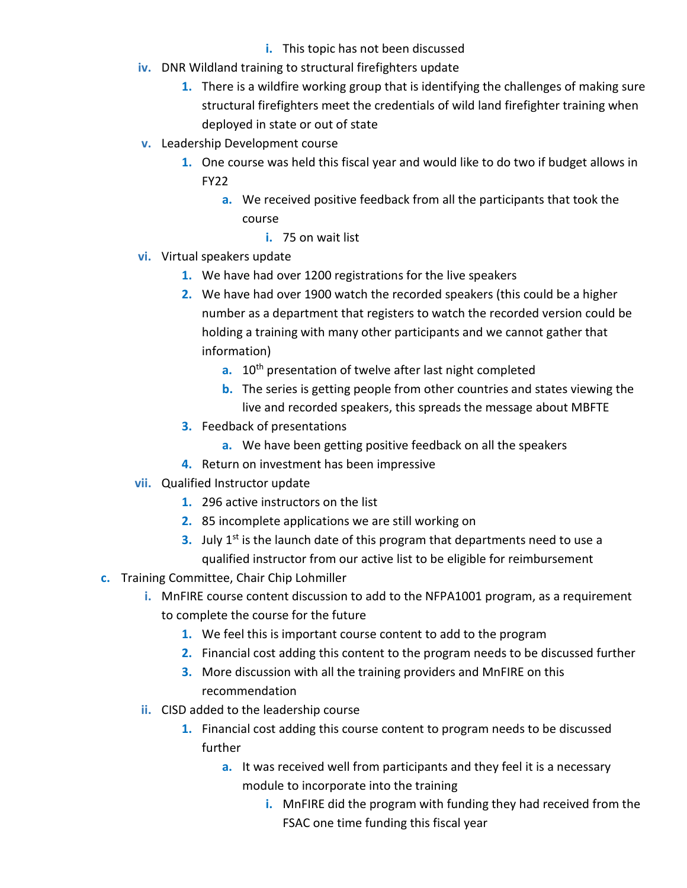- **i.** This topic has not been discussed
- **iv.** DNR Wildland training to structural firefighters update
	- **1.** There is a wildfire working group that is identifying the challenges of making sure structural firefighters meet the credentials of wild land firefighter training when deployed in state or out of state
- **v.** Leadership Development course
	- **1.** One course was held this fiscal year and would like to do two if budget allows in FY22
		- **a.** We received positive feedback from all the participants that took the course
			- **i.** 75 on wait list
- **vi.** Virtual speakers update
	- **1.** We have had over 1200 registrations for the live speakers
	- **2.** We have had over 1900 watch the recorded speakers (this could be a higher number as a department that registers to watch the recorded version could be holding a training with many other participants and we cannot gather that information)
		- **a.** 10<sup>th</sup> presentation of twelve after last night completed
		- **b.** The series is getting people from other countries and states viewing the live and recorded speakers, this spreads the message about MBFTE
	- **3.** Feedback of presentations
		- **a.** We have been getting positive feedback on all the speakers
	- **4.** Return on investment has been impressive
- **vii.** Qualified Instructor update
	- **1.** 296 active instructors on the list
	- **2.** 85 incomplete applications we are still working on
	- **3.** July 1<sup>st</sup> is the launch date of this program that departments need to use a qualified instructor from our active list to be eligible for reimbursement
- **c.** Training Committee, Chair Chip Lohmiller
	- **i.** MnFIRE course content discussion to add to the NFPA1001 program, as a requirement to complete the course for the future
		- **1.** We feel this is important course content to add to the program
		- **2.** Financial cost adding this content to the program needs to be discussed further
		- **3.** More discussion with all the training providers and MnFIRE on this recommendation
	- **ii.** CISD added to the leadership course
		- **1.** Financial cost adding this course content to program needs to be discussed further
			- **a.** It was received well from participants and they feel it is a necessary module to incorporate into the training
				- **i.** MnFIRE did the program with funding they had received from the FSAC one time funding this fiscal year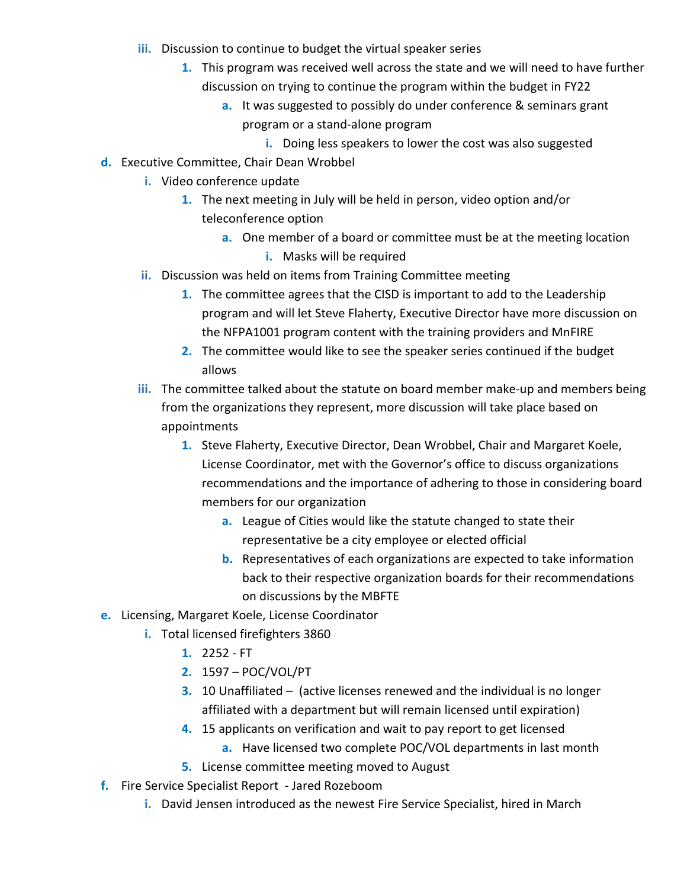- **iii.** Discussion to continue to budget the virtual speaker series
	- **1.** This program was received well across the state and we will need to have further discussion on trying to continue the program within the budget in FY22
		- **a.** It was suggested to possibly do under conference & seminars grant program or a stand-alone program
			- **i.** Doing less speakers to lower the cost was also suggested
- **d.** Executive Committee, Chair Dean Wrobbel
	- **i.** Video conference update
		- **1.** The next meeting in July will be held in person, video option and/or teleconference option
			- **a.** One member of a board or committee must be at the meeting location **i.** Masks will be required
	- **ii.** Discussion was held on items from Training Committee meeting
		- **1.** The committee agrees that the CISD is important to add to the Leadership program and will let Steve Flaherty, Executive Director have more discussion on the NFPA1001 program content with the training providers and MnFIRE
		- **2.** The committee would like to see the speaker series continued if the budget allows
	- **iii.** The committee talked about the statute on board member make-up and members being from the organizations they represent, more discussion will take place based on appointments
		- **1.** Steve Flaherty, Executive Director, Dean Wrobbel, Chair and Margaret Koele, License Coordinator, met with the Governor's office to discuss organizations recommendations and the importance of adhering to those in considering board members for our organization
			- **a.** League of Cities would like the statute changed to state their representative be a city employee or elected official
			- **b.** Representatives of each organizations are expected to take information back to their respective organization boards for their recommendations on discussions by the MBFTE
- **e.** Licensing, Margaret Koele, License Coordinator
	- **i.** Total licensed firefighters 3860
		- **1.** 2252 FT
		- **2.** 1597 POC/VOL/PT
		- **3.** 10 Unaffiliated (active licenses renewed and the individual is no longer affiliated with a department but will remain licensed until expiration)
		- **4.** 15 applicants on verification and wait to pay report to get licensed
			- **a.** Have licensed two complete POC/VOL departments in last month
		- **5.** License committee meeting moved to August
- **f.** Fire Service Specialist Report Jared Rozeboom
	- **i.** David Jensen introduced as the newest Fire Service Specialist, hired in March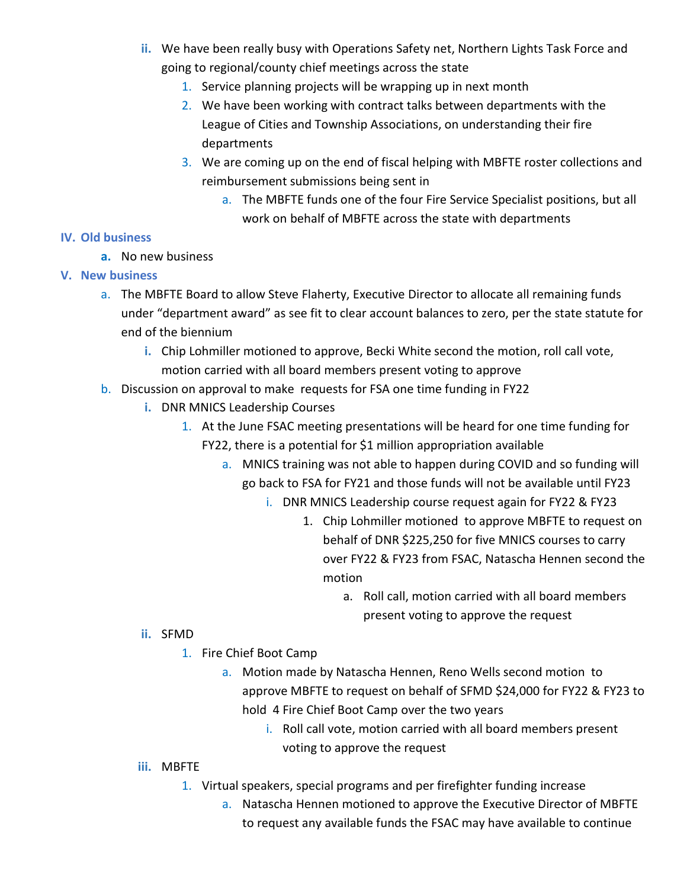- **ii.** We have been really busy with Operations Safety net, Northern Lights Task Force and going to regional/county chief meetings across the state
	- 1. Service planning projects will be wrapping up in next month
	- 2. We have been working with contract talks between departments with the League of Cities and Township Associations, on understanding their fire departments
	- 3. We are coming up on the end of fiscal helping with MBFTE roster collections and reimbursement submissions being sent in
		- a. The MBFTE funds one of the four Fire Service Specialist positions, but all work on behalf of MBFTE across the state with departments

### **IV. Old business**

**a.** No new business

# **V. New business**

- a. The MBFTE Board to allow Steve Flaherty, Executive Director to allocate all remaining funds under "department award" as see fit to clear account balances to zero, per the state statute for end of the biennium
	- **i.** Chip Lohmiller motioned to approve, Becki White second the motion, roll call vote, motion carried with all board members present voting to approve
- b. Discussion on approval to make requests for FSA one time funding in FY22
	- **i.** DNR MNICS Leadership Courses
		- 1. At the June FSAC meeting presentations will be heard for one time funding for FY22, there is a potential for \$1 million appropriation available
			- a. MNICS training was not able to happen during COVID and so funding will go back to FSA for FY21 and those funds will not be available until FY23
				- i. DNR MNICS Leadership course request again for FY22 & FY23
					- 1. Chip Lohmiller motioned to approve MBFTE to request on behalf of DNR \$225,250 for five MNICS courses to carry over FY22 & FY23 from FSAC, Natascha Hennen second the motion
						- a. Roll call, motion carried with all board members present voting to approve the request

# **ii.** SFMD

- 1. Fire Chief Boot Camp
	- a. Motion made by Natascha Hennen, Reno Wells second motion to approve MBFTE to request on behalf of SFMD \$24,000 for FY22 & FY23 to hold 4 Fire Chief Boot Camp over the two years
		- i. Roll call vote, motion carried with all board members present voting to approve the request
- **iii.** MBFTE
	- 1. Virtual speakers, special programs and per firefighter funding increase
		- a. Natascha Hennen motioned to approve the Executive Director of MBFTE to request any available funds the FSAC may have available to continue